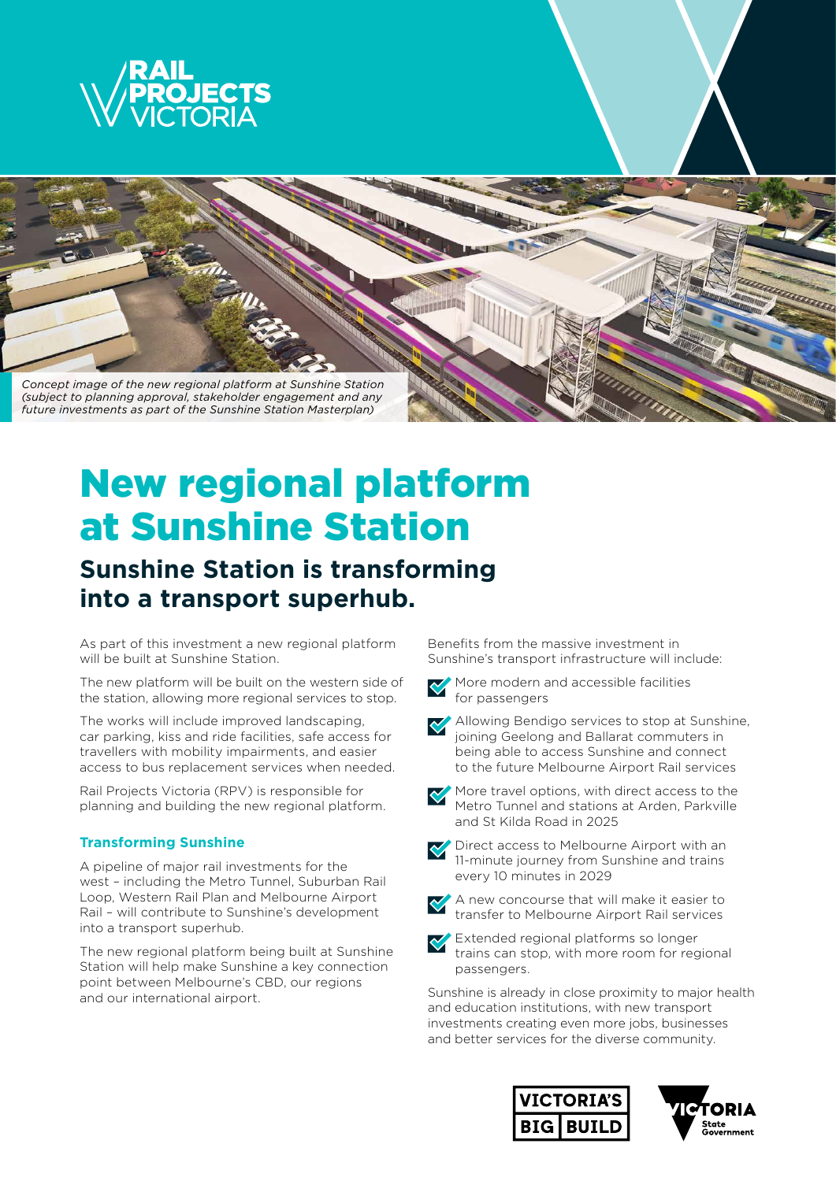



# New regional platform at Sunshine Station

# **Sunshine Station is transforming into a transport superhub.**

As part of this investment a new regional platform will be built at Sunshine Station.

The new platform will be built on the western side of the station, allowing more regional services to stop.

The works will include improved landscaping, car parking, kiss and ride facilities, safe access for travellers with mobility impairments, and easier access to bus replacement services when needed.

Rail Projects Victoria (RPV) is responsible for planning and building the new regional platform.

### **Transforming Sunshine**

A pipeline of major rail investments for the west – including the Metro Tunnel, Suburban Rail Loop, Western Rail Plan and Melbourne Airport Rail – will contribute to Sunshine's development into a transport superhub.

The new regional platform being built at Sunshine Station will help make Sunshine a key connection point between Melbourne's CBD, our regions and our international airport.

Benefits from the massive investment in Sunshine's transport infrastructure will include:



More modern and accessible facilities for passengers



More travel options, with direct access to the Metro Tunnel and stations at Arden, Parkville and St Kilda Road in 2025



Direct access to Melbourne Airport with an 11-minute journey from Sunshine and trains every 10 minutes in 2029



A new concourse that will make it easier to transfer to Melbourne Airport Rail services



Extended regional platforms so longer trains can stop, with more room for regional passengers.

Sunshine is already in close proximity to major health and education institutions, with new transport investments creating even more jobs, businesses and better services for the diverse community.



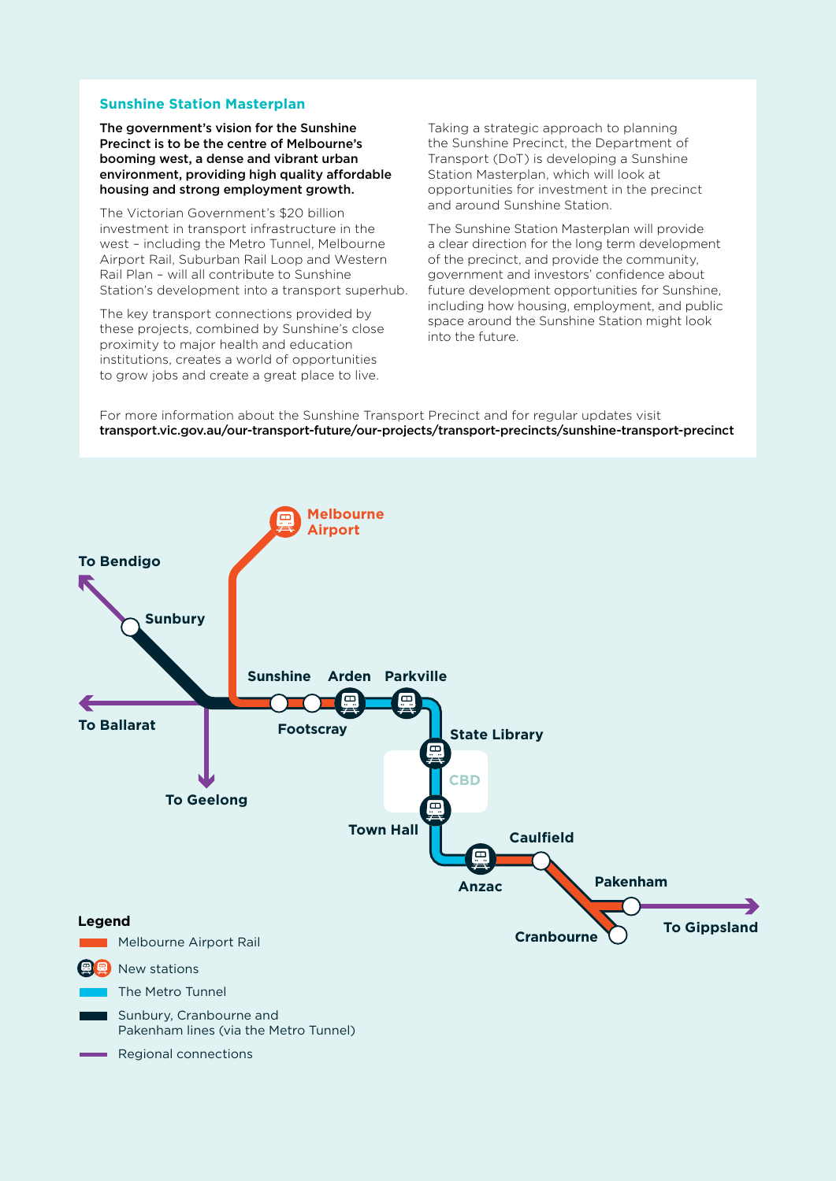#### **Sunshine Station Masterplan**

The government's vision for the Sunshine Precinct is to be the centre of Melbourne's booming west, a dense and vibrant urban environment, providing high quality affordable housing and strong employment growth.

The Victorian Government's \$20 billion investment in transport infrastructure in the west – including the Metro Tunnel, Melbourne Airport Rail, Suburban Rail Loop and Western Rail Plan – will all contribute to Sunshine Station's development into a transport superhub.

The key transport connections provided by these projects, combined by Sunshine's close proximity to major health and education institutions, creates a world of opportunities to grow jobs and create a great place to live.

Taking a strategic approach to planning the Sunshine Precinct, the Department of Transport (DoT) is developing a Sunshine Station Masterplan, which will look at opportunities for investment in the precinct and around Sunshine Station.

The Sunshine Station Masterplan will provide a clear direction for the long term development of the precinct, and provide the community, government and investors' confidence about future development opportunities for Sunshine, including how housing, employment, and public space around the Sunshine Station might look into the future.

For more information about the Sunshine Transport Precinct and for regular updates visit transport.vic.gov.au/our-transport-future/our-projects/transport-precincts/sunshine-transport-precinct

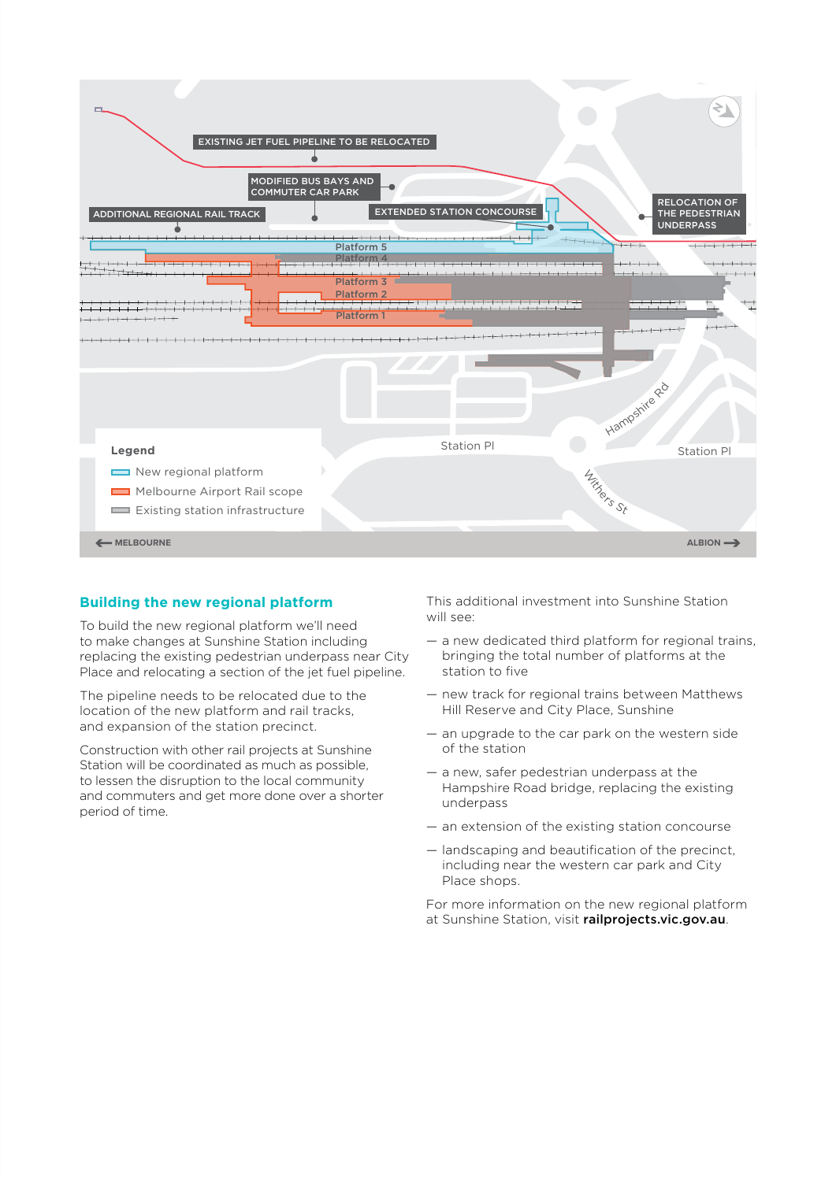

#### **Building the new regional platform**

To build the new regional platform we'll need to make changes at Sunshine Station including replacing the existing pedestrian underpass near City Place and relocating a section of the jet fuel pipeline.

The pipeline needs to be relocated due to the location of the new platform and rail tracks, and expansion of the station precinct.

Construction with other rail projects at Sunshine Station will be coordinated as much as possible, to lessen the disruption to the local community and commuters and get more done over a shorter period of time.

This additional investment into Sunshine Station will see:

- a new dedicated third platform for regional trains, bringing the total number of platforms at the station to five
- new track for regional trains between Matthews Hill Reserve and City Place, Sunshine
- an upgrade to the car park on the western side of the station
- a new, safer pedestrian underpass at the Hampshire Road bridge, replacing the existing underpass
- an extension of the existing station concourse
- landscaping and beautification of the precinct, including near the western car park and City Place shops.

For more information on the new regional platform at Sunshine Station, visit railprojects.vic.gov.au.